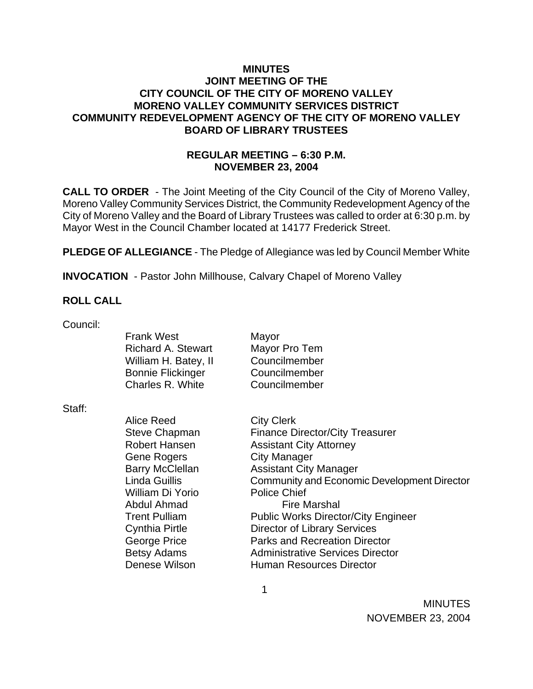### **MINUTES JOINT MEETING OF THE CITY COUNCIL OF THE CITY OF MORENO VALLEY MORENO VALLEY COMMUNITY SERVICES DISTRICT COMMUNITY REDEVELOPMENT AGENCY OF THE CITY OF MORENO VALLEY BOARD OF LIBRARY TRUSTEES**

# **REGULAR MEETING – 6:30 P.M. NOVEMBER 23, 2004**

**CALL TO ORDER** - The Joint Meeting of the City Council of the City of Moreno Valley, Moreno Valley Community Services District, the Community Redevelopment Agency of the City of Moreno Valley and the Board of Library Trustees was called to order at 6:30 p.m. by Mayor West in the Council Chamber located at 14177 Frederick Street.

**PLEDGE OF ALLEGIANCE** - The Pledge of Allegiance was led by Council Member White

**INVOCATION** - Pastor John Millhouse, Calvary Chapel of Moreno Valley

## **ROLL CALL**

Council:

|        | <b>Frank West</b><br><b>Richard A. Stewart</b><br>William H. Batey, II<br><b>Bonnie Flickinger</b><br>Charles R. White | Mayor<br>Mayor Pro Tem<br>Councilmember<br>Councilmember |
|--------|------------------------------------------------------------------------------------------------------------------------|----------------------------------------------------------|
|        |                                                                                                                        | Councilmember                                            |
| Staff: |                                                                                                                        |                                                          |
|        | Alice Reed                                                                                                             | <b>City Clerk</b>                                        |
|        | <b>Steve Chapman</b>                                                                                                   | <b>Finance Director/City Treasurer</b>                   |
|        | <b>Robert Hansen</b>                                                                                                   | <b>Assistant City Attorney</b>                           |
|        | <b>Gene Rogers</b>                                                                                                     | <b>City Manager</b>                                      |
|        | <b>Barry McClellan</b>                                                                                                 | <b>Assistant City Manager</b>                            |
|        | Linda Guillis                                                                                                          | Community and Economic Development Director              |
|        | William Di Yorio                                                                                                       | <b>Police Chief</b>                                      |
|        | Abdul Ahmad                                                                                                            | <b>Fire Marshal</b>                                      |
|        | <b>Trent Pulliam</b>                                                                                                   | <b>Public Works Director/City Engineer</b>               |
|        | Cynthia Pirtle                                                                                                         | <b>Director of Library Services</b>                      |
|        | George Price                                                                                                           | <b>Parks and Recreation Director</b>                     |
|        | <b>Betsy Adams</b>                                                                                                     | <b>Administrative Services Director</b>                  |
|        | Denese Wilson                                                                                                          | <b>Human Resources Director</b>                          |
|        |                                                                                                                        |                                                          |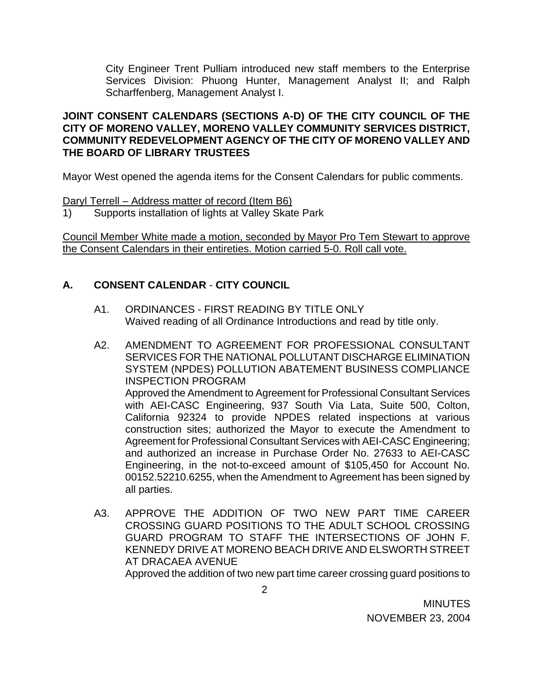City Engineer Trent Pulliam introduced new staff members to the Enterprise Services Division: Phuong Hunter, Management Analyst II; and Ralph Scharffenberg, Management Analyst I.

## **JOINT CONSENT CALENDARS (SECTIONS A-D) OF THE CITY COUNCIL OF THE CITY OF MORENO VALLEY, MORENO VALLEY COMMUNITY SERVICES DISTRICT, COMMUNITY REDEVELOPMENT AGENCY OF THE CITY OF MORENO VALLEY AND THE BOARD OF LIBRARY TRUSTEES**

Mayor West opened the agenda items for the Consent Calendars for public comments.

Daryl Terrell – Address matter of record (Item B6)

1) Supports installation of lights at Valley Skate Park

Council Member White made a motion, seconded by Mayor Pro Tem Stewart to approve the Consent Calendars in their entireties. Motion carried 5-0. Roll call vote.

# **A. CONSENT CALENDAR** - **CITY COUNCIL**

- A1. ORDINANCES FIRST READING BY TITLE ONLY Waived reading of all Ordinance Introductions and read by title only.
- A2. AMENDMENT TO AGREEMENT FOR PROFESSIONAL CONSULTANT SERVICES FOR THE NATIONAL POLLUTANT DISCHARGE ELIMINATION SYSTEM (NPDES) POLLUTION ABATEMENT BUSINESS COMPLIANCE INSPECTION PROGRAM Approved the Amendment to Agreement for Professional Consultant Services with AEI-CASC Engineering, 937 South Via Lata, Suite 500, Colton, California 92324 to provide NPDES related inspections at various construction sites; authorized the Mayor to execute the Amendment to Agreement for Professional Consultant Services with AEI-CASC Engineering; and authorized an increase in Purchase Order No. 27633 to AEI-CASC Engineering, in the not-to-exceed amount of \$105,450 for Account No. 00152.52210.6255, when the Amendment to Agreement has been signed by all parties.
- A3. APPROVE THE ADDITION OF TWO NEW PART TIME CAREER CROSSING GUARD POSITIONS TO THE ADULT SCHOOL CROSSING GUARD PROGRAM TO STAFF THE INTERSECTIONS OF JOHN F. KENNEDY DRIVE AT MORENO BEACH DRIVE AND ELSWORTH STREET AT DRACAEA AVENUE Approved the addition of two new part time career crossing guard positions to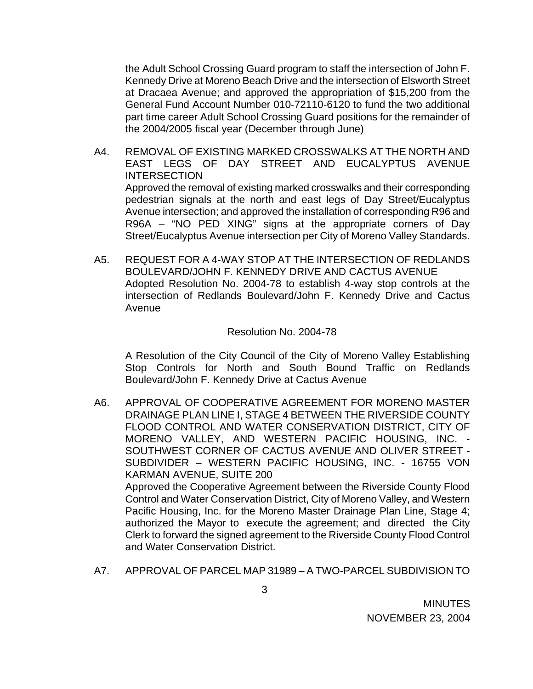the Adult School Crossing Guard program to staff the intersection of John F. Kennedy Drive at Moreno Beach Drive and the intersection of Elsworth Street at Dracaea Avenue; and approved the appropriation of \$15,200 from the General Fund Account Number 010-72110-6120 to fund the two additional part time career Adult School Crossing Guard positions for the remainder of the 2004/2005 fiscal year (December through June)

- A4. REMOVAL OF EXISTING MARKED CROSSWALKS AT THE NORTH AND EAST LEGS OF DAY STREET AND EUCALYPTUS AVENUE INTERSECTION Approved the removal of existing marked crosswalks and their corresponding pedestrian signals at the north and east legs of Day Street/Eucalyptus Avenue intersection; and approved the installation of corresponding R96 and R96A – "NO PED XING" signs at the appropriate corners of Day Street/Eucalyptus Avenue intersection per City of Moreno Valley Standards.
- A5. REQUEST FOR A 4-WAY STOP AT THE INTERSECTION OF REDLANDS BOULEVARD/JOHN F. KENNEDY DRIVE AND CACTUS AVENUE Adopted Resolution No. 2004-78 to establish 4-way stop controls at the intersection of Redlands Boulevard/John F. Kennedy Drive and Cactus Avenue

#### Resolution No. 2004-78

A Resolution of the City Council of the City of Moreno Valley Establishing Stop Controls for North and South Bound Traffic on Redlands Boulevard/John F. Kennedy Drive at Cactus Avenue

- A6. APPROVAL OF COOPERATIVE AGREEMENT FOR MORENO MASTER DRAINAGE PLAN LINE I, STAGE 4 BETWEEN THE RIVERSIDE COUNTY FLOOD CONTROL AND WATER CONSERVATION DISTRICT, CITY OF MORENO VALLEY, AND WESTERN PACIFIC HOUSING, INC. - SOUTHWEST CORNER OF CACTUS AVENUE AND OLIVER STREET - SUBDIVIDER – WESTERN PACIFIC HOUSING, INC. - 16755 VON KARMAN AVENUE, SUITE 200 Approved the Cooperative Agreement between the Riverside County Flood Control and Water Conservation District, City of Moreno Valley, and Western Pacific Housing, Inc. for the Moreno Master Drainage Plan Line, Stage 4; authorized the Mayor to execute the agreement; and directed the City Clerk to forward the signed agreement to the Riverside County Flood Control and Water Conservation District.
- A7. APPROVAL OF PARCEL MAP 31989 A TWO-PARCEL SUBDIVISION TO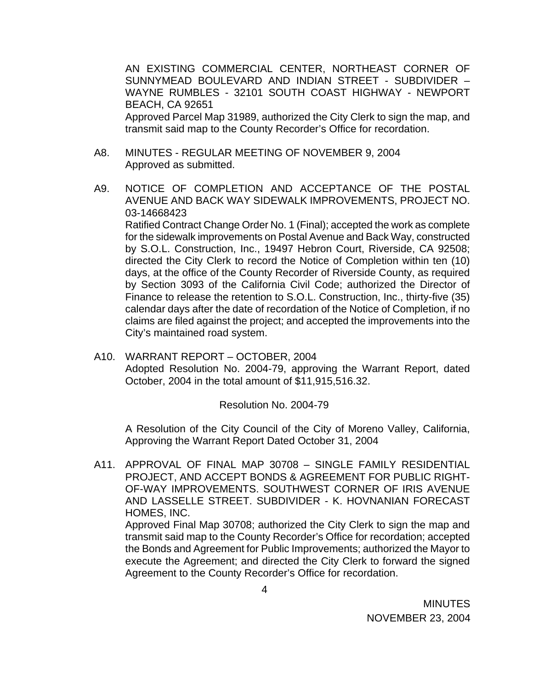AN EXISTING COMMERCIAL CENTER, NORTHEAST CORNER OF SUNNYMEAD BOULEVARD AND INDIAN STREET - SUBDIVIDER – WAYNE RUMBLES - 32101 SOUTH COAST HIGHWAY - NEWPORT BEACH, CA 92651 Approved Parcel Map 31989, authorized the City Clerk to sign the map, and transmit said map to the County Recorder's Office for recordation.

- A8. MINUTES REGULAR MEETING OF NOVEMBER 9, 2004 Approved as submitted.
- A9. NOTICE OF COMPLETION AND ACCEPTANCE OF THE POSTAL AVENUE AND BACK WAY SIDEWALK IMPROVEMENTS, PROJECT NO. 03-14668423

Ratified Contract Change Order No. 1 (Final); accepted the work as complete for the sidewalk improvements on Postal Avenue and Back Way, constructed by S.O.L. Construction, Inc., 19497 Hebron Court, Riverside, CA 92508; directed the City Clerk to record the Notice of Completion within ten (10) days, at the office of the County Recorder of Riverside County, as required by Section 3093 of the California Civil Code; authorized the Director of Finance to release the retention to S.O.L. Construction, Inc., thirty-five (35) calendar days after the date of recordation of the Notice of Completion, if no claims are filed against the project; and accepted the improvements into the City's maintained road system.

A10. WARRANT REPORT – OCTOBER, 2004 Adopted Resolution No. 2004-79, approving the Warrant Report, dated October, 2004 in the total amount of \$11,915,516.32.

### Resolution No. 2004-79

 A Resolution of the City Council of the City of Moreno Valley, California, Approving the Warrant Report Dated October 31, 2004

A11. APPROVAL OF FINAL MAP 30708 – SINGLE FAMILY RESIDENTIAL PROJECT, AND ACCEPT BONDS & AGREEMENT FOR PUBLIC RIGHT-OF-WAY IMPROVEMENTS. SOUTHWEST CORNER OF IRIS AVENUE AND LASSELLE STREET. SUBDIVIDER - K. HOVNANIAN FORECAST HOMES, INC. Approved Final Map 30708; authorized the City Clerk to sign the map and

transmit said map to the County Recorder's Office for recordation; accepted the Bonds and Agreement for Public Improvements; authorized the Mayor to execute the Agreement; and directed the City Clerk to forward the signed Agreement to the County Recorder's Office for recordation.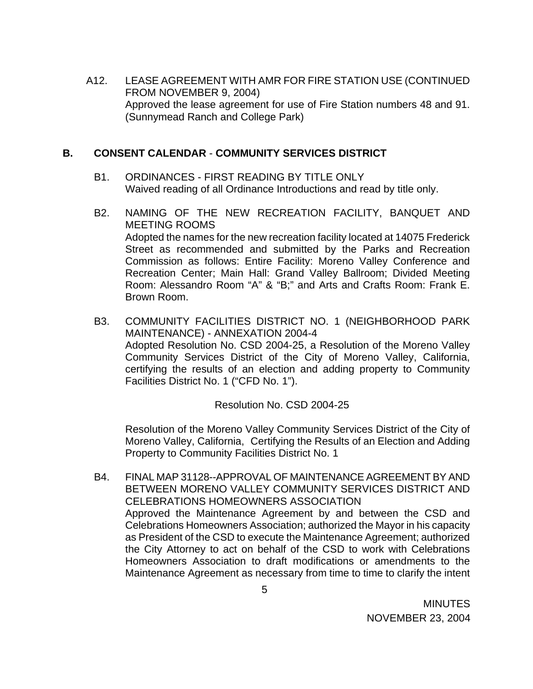A12. LEASE AGREEMENT WITH AMR FOR FIRE STATION USE (CONTINUED FROM NOVEMBER 9, 2004) Approved the lease agreement for use of Fire Station numbers 48 and 91. (Sunnymead Ranch and College Park)

### **B. CONSENT CALENDAR** - **COMMUNITY SERVICES DISTRICT**

- B1. ORDINANCES FIRST READING BY TITLE ONLY Waived reading of all Ordinance Introductions and read by title only.
- B2. NAMING OF THE NEW RECREATION FACILITY, BANQUET AND MEETING ROOMS Adopted the names for the new recreation facility located at 14075 Frederick Street as recommended and submitted by the Parks and Recreation Commission as follows: Entire Facility: Moreno Valley Conference and Recreation Center; Main Hall: Grand Valley Ballroom; Divided Meeting Room: Alessandro Room "A" & "B;" and Arts and Crafts Room: Frank E. Brown Room.
- B3. COMMUNITY FACILITIES DISTRICT NO. 1 (NEIGHBORHOOD PARK MAINTENANCE) - ANNEXATION 2004-4 Adopted Resolution No. CSD 2004-25, a Resolution of the Moreno Valley Community Services District of the City of Moreno Valley, California, certifying the results of an election and adding property to Community Facilities District No. 1 ("CFD No. 1").

Resolution No. CSD 2004-25

Resolution of the Moreno Valley Community Services District of the City of Moreno Valley, California, Certifying the Results of an Election and Adding Property to Community Facilities District No. 1

B4. FINAL MAP 31128--APPROVAL OF MAINTENANCE AGREEMENT BY AND BETWEEN MORENO VALLEY COMMUNITY SERVICES DISTRICT AND CELEBRATIONS HOMEOWNERS ASSOCIATION Approved the Maintenance Agreement by and between the CSD and Celebrations Homeowners Association; authorized the Mayor in his capacity as President of the CSD to execute the Maintenance Agreement; authorized the City Attorney to act on behalf of the CSD to work with Celebrations Homeowners Association to draft modifications or amendments to the Maintenance Agreement as necessary from time to time to clarify the intent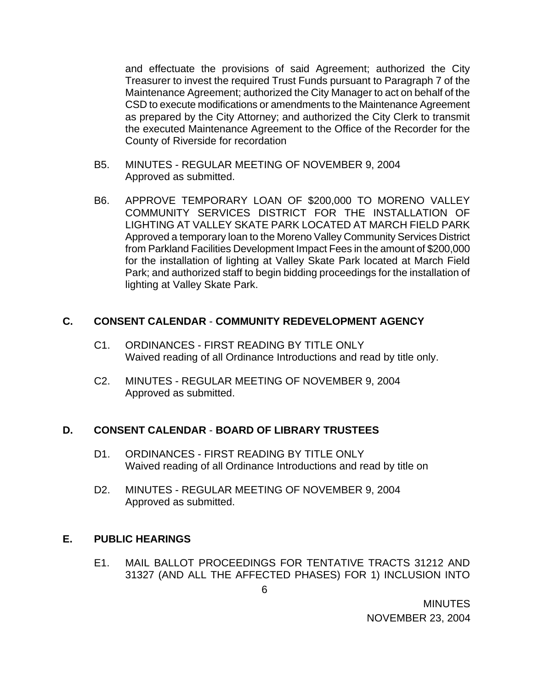and effectuate the provisions of said Agreement; authorized the City Treasurer to invest the required Trust Funds pursuant to Paragraph 7 of the Maintenance Agreement; authorized the City Manager to act on behalf of the CSD to execute modifications or amendments to the Maintenance Agreement as prepared by the City Attorney; and authorized the City Clerk to transmit the executed Maintenance Agreement to the Office of the Recorder for the County of Riverside for recordation

- B5. MINUTES REGULAR MEETING OF NOVEMBER 9, 2004 Approved as submitted.
- B6. APPROVE TEMPORARY LOAN OF \$200,000 TO MORENO VALLEY COMMUNITY SERVICES DISTRICT FOR THE INSTALLATION OF LIGHTING AT VALLEY SKATE PARK LOCATED AT MARCH FIELD PARK Approved a temporary loan to the Moreno Valley Community Services District from Parkland Facilities Development Impact Fees in the amount of \$200,000 for the installation of lighting at Valley Skate Park located at March Field Park; and authorized staff to begin bidding proceedings for the installation of lighting at Valley Skate Park.

### **C. CONSENT CALENDAR** - **COMMUNITY REDEVELOPMENT AGENCY**

- C1. ORDINANCES FIRST READING BY TITLE ONLY Waived reading of all Ordinance Introductions and read by title only.
- C2. MINUTES REGULAR MEETING OF NOVEMBER 9, 2004 Approved as submitted.

### **D. CONSENT CALENDAR** - **BOARD OF LIBRARY TRUSTEES**

- D1. ORDINANCES FIRST READING BY TITLE ONLY Waived reading of all Ordinance Introductions and read by title on
- D2. MINUTES REGULAR MEETING OF NOVEMBER 9, 2004 Approved as submitted.

### **E. PUBLIC HEARINGS**

E1. MAIL BALLOT PROCEEDINGS FOR TENTATIVE TRACTS 31212 AND 31327 (AND ALL THE AFFECTED PHASES) FOR 1) INCLUSION INTO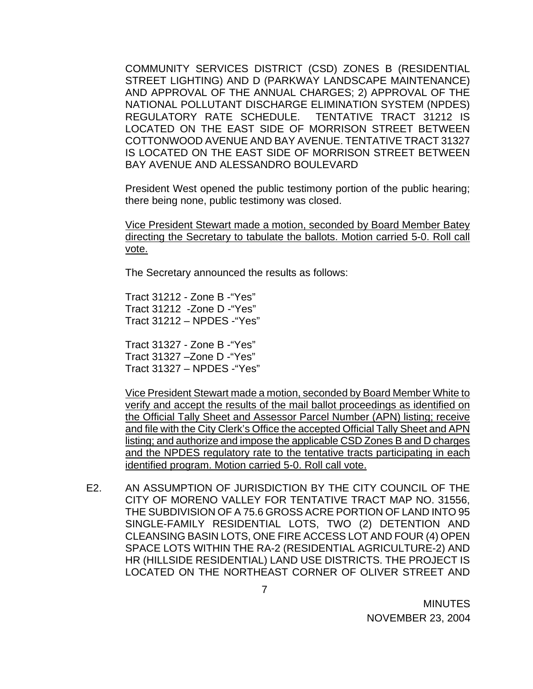COMMUNITY SERVICES DISTRICT (CSD) ZONES B (RESIDENTIAL STREET LIGHTING) AND D (PARKWAY LANDSCAPE MAINTENANCE) AND APPROVAL OF THE ANNUAL CHARGES; 2) APPROVAL OF THE NATIONAL POLLUTANT DISCHARGE ELIMINATION SYSTEM (NPDES) REGULATORY RATE SCHEDULE. TENTATIVE TRACT 31212 IS LOCATED ON THE EAST SIDE OF MORRISON STREET BETWEEN COTTONWOOD AVENUE AND BAY AVENUE. TENTATIVE TRACT 31327 IS LOCATED ON THE EAST SIDE OF MORRISON STREET BETWEEN BAY AVENUE AND ALESSANDRO BOULEVARD

President West opened the public testimony portion of the public hearing; there being none, public testimony was closed.

 Vice President Stewart made a motion, seconded by Board Member Batey directing the Secretary to tabulate the ballots. Motion carried 5-0. Roll call vote.

The Secretary announced the results as follows:

 Tract 31212 - Zone B -"Yes" Tract 31212 -Zone D -"Yes" Tract 31212 – NPDES -"Yes"

 Tract 31327 - Zone B -"Yes" Tract 31327 –Zone D -"Yes" Tract 31327 – NPDES -"Yes"

 Vice President Stewart made a motion, seconded by Board Member White to verify and accept the results of the mail ballot proceedings as identified on the Official Tally Sheet and Assessor Parcel Number (APN) listing; receive and file with the City Clerk's Office the accepted Official Tally Sheet and APN listing; and authorize and impose the applicable CSD Zones B and D charges and the NPDES regulatory rate to the tentative tracts participating in each identified program. Motion carried 5-0. Roll call vote.

E2. AN ASSUMPTION OF JURISDICTION BY THE CITY COUNCIL OF THE CITY OF MORENO VALLEY FOR TENTATIVE TRACT MAP NO. 31556, THE SUBDIVISION OF A 75.6 GROSS ACRE PORTION OF LAND INTO 95 SINGLE-FAMILY RESIDENTIAL LOTS, TWO (2) DETENTION AND CLEANSING BASIN LOTS, ONE FIRE ACCESS LOT AND FOUR (4) OPEN SPACE LOTS WITHIN THE RA-2 (RESIDENTIAL AGRICULTURE-2) AND HR (HILLSIDE RESIDENTIAL) LAND USE DISTRICTS. THE PROJECT IS LOCATED ON THE NORTHEAST CORNER OF OLIVER STREET AND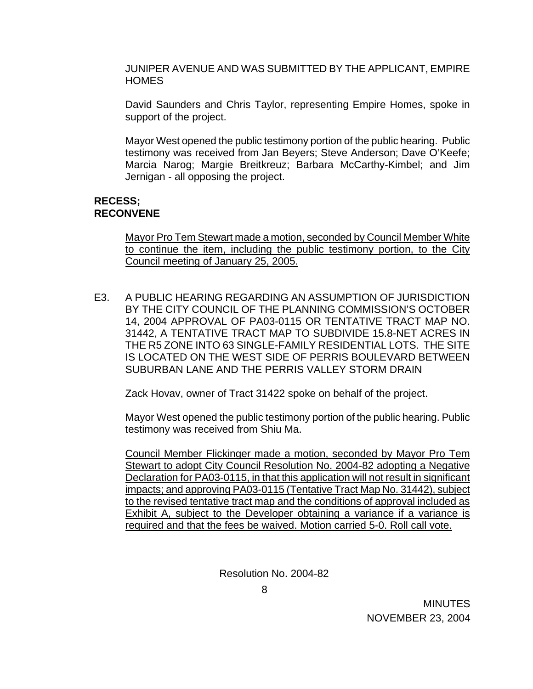JUNIPER AVENUE AND WAS SUBMITTED BY THE APPLICANT, EMPIRE HOMES

David Saunders and Chris Taylor, representing Empire Homes, spoke in support of the project.

 Mayor West opened the public testimony portion of the public hearing. Public testimony was received from Jan Beyers; Steve Anderson; Dave O'Keefe; Marcia Narog; Margie Breitkreuz; Barbara McCarthy-Kimbel; and Jim Jernigan - all opposing the project.

#### **RECESS; RECONVENE**

Mayor Pro Tem Stewart made a motion, seconded by Council Member White to continue the item, including the public testimony portion, to the City Council meeting of January 25, 2005.

E3. A PUBLIC HEARING REGARDING AN ASSUMPTION OF JURISDICTION BY THE CITY COUNCIL OF THE PLANNING COMMISSION'S OCTOBER 14, 2004 APPROVAL OF PA03-0115 OR TENTATIVE TRACT MAP NO. 31442, A TENTATIVE TRACT MAP TO SUBDIVIDE 15.8-NET ACRES IN THE R5 ZONE INTO 63 SINGLE-FAMILY RESIDENTIAL LOTS. THE SITE IS LOCATED ON THE WEST SIDE OF PERRIS BOULEVARD BETWEEN SUBURBAN LANE AND THE PERRIS VALLEY STORM DRAIN

Zack Hovav, owner of Tract 31422 spoke on behalf of the project.

Mayor West opened the public testimony portion of the public hearing. Public testimony was received from Shiu Ma.

Council Member Flickinger made a motion, seconded by Mayor Pro Tem Stewart to adopt City Council Resolution No. 2004-82 adopting a Negative Declaration for PA03-0115, in that this application will not result in significant impacts; and approving PA03-0115 (Tentative Tract Map No. 31442), subject to the revised tentative tract map and the conditions of approval included as Exhibit A, subject to the Developer obtaining a variance if a variance is required and that the fees be waived. Motion carried 5-0. Roll call vote.

Resolution No. 2004-82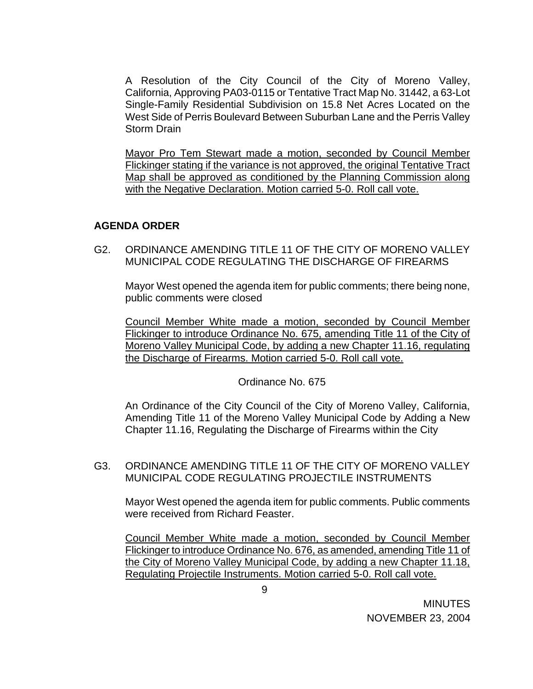A Resolution of the City Council of the City of Moreno Valley, California, Approving PA03-0115 or Tentative Tract Map No. 31442, a 63-Lot Single-Family Residential Subdivision on 15.8 Net Acres Located on the West Side of Perris Boulevard Between Suburban Lane and the Perris Valley Storm Drain

Mayor Pro Tem Stewart made a motion, seconded by Council Member Flickinger stating if the variance is not approved, the original Tentative Tract Map shall be approved as conditioned by the Planning Commission along with the Negative Declaration. Motion carried 5-0. Roll call vote.

## **AGENDA ORDER**

G2. ORDINANCE AMENDING TITLE 11 OF THE CITY OF MORENO VALLEY MUNICIPAL CODE REGULATING THE DISCHARGE OF FIREARMS

Mayor West opened the agenda item for public comments; there being none, public comments were closed

 Council Member White made a motion, seconded by Council Member Flickinger to introduce Ordinance No. 675, amending Title 11 of the City of Moreno Valley Municipal Code, by adding a new Chapter 11.16, regulating the Discharge of Firearms. Motion carried 5-0. Roll call vote.

Ordinance No. 675

An Ordinance of the City Council of the City of Moreno Valley, California, Amending Title 11 of the Moreno Valley Municipal Code by Adding a New Chapter 11.16, Regulating the Discharge of Firearms within the City

### G3. ORDINANCE AMENDING TITLE 11 OF THE CITY OF MORENO VALLEY MUNICIPAL CODE REGULATING PROJECTILE INSTRUMENTS

Mayor West opened the agenda item for public comments. Public comments were received from Richard Feaster.

 Council Member White made a motion, seconded by Council Member Flickinger to introduce Ordinance No. 676, as amended, amending Title 11 of the City of Moreno Valley Municipal Code, by adding a new Chapter 11.18, Regulating Projectile Instruments. Motion carried 5-0. Roll call vote.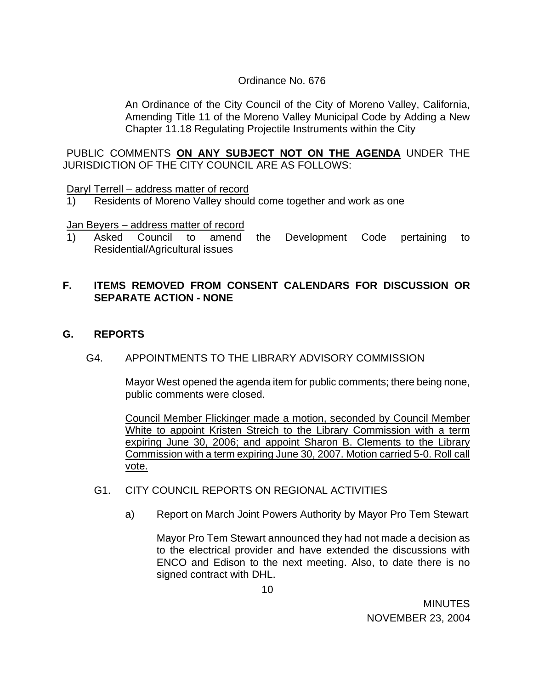## Ordinance No. 676

An Ordinance of the City Council of the City of Moreno Valley, California, Amending Title 11 of the Moreno Valley Municipal Code by Adding a New Chapter 11.18 Regulating Projectile Instruments within the City

PUBLIC COMMENTS **ON ANY SUBJECT NOT ON THE AGENDA** UNDER THE JURISDICTION OF THE CITY COUNCIL ARE AS FOLLOWS:

Daryl Terrell – address matter of record

1) Residents of Moreno Valley should come together and work as one

Jan Beyers – address matter of record

1) Asked Council to amend the Development Code pertaining to Residential/Agricultural issues

# **F. ITEMS REMOVED FROM CONSENT CALENDARS FOR DISCUSSION OR SEPARATE ACTION - NONE**

**G. REPORTS**

# G4. APPOINTMENTS TO THE LIBRARY ADVISORY COMMISSION

Mayor West opened the agenda item for public comments; there being none, public comments were closed.

Council Member Flickinger made a motion, seconded by Council Member White to appoint Kristen Streich to the Library Commission with a term expiring June 30, 2006; and appoint Sharon B. Clements to the Library Commission with a term expiring June 30, 2007. Motion carried 5-0. Roll call vote.

# G1. CITY COUNCIL REPORTS ON REGIONAL ACTIVITIES

a) Report on March Joint Powers Authority by Mayor Pro Tem Stewart

 Mayor Pro Tem Stewart announced they had not made a decision as to the electrical provider and have extended the discussions with ENCO and Edison to the next meeting. Also, to date there is no signed contract with DHL.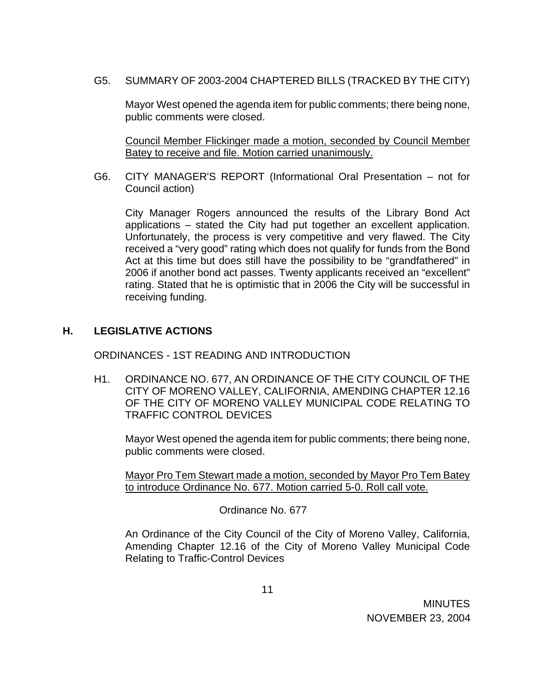G5. SUMMARY OF 2003-2004 CHAPTERED BILLS (TRACKED BY THE CITY)

Mayor West opened the agenda item for public comments; there being none, public comments were closed.

 Council Member Flickinger made a motion, seconded by Council Member Batey to receive and file. Motion carried unanimously.

 G6. CITY MANAGER'S REPORT (Informational Oral Presentation – not for Council action)

City Manager Rogers announced the results of the Library Bond Act applications – stated the City had put together an excellent application. Unfortunately, the process is very competitive and very flawed. The City received a "very good" rating which does not qualify for funds from the Bond Act at this time but does still have the possibility to be "grandfathered" in 2006 if another bond act passes. Twenty applicants received an "excellent" rating. Stated that he is optimistic that in 2006 the City will be successful in receiving funding.

## **H. LEGISLATIVE ACTIONS**

ORDINANCES - 1ST READING AND INTRODUCTION

H1. ORDINANCE NO. 677, AN ORDINANCE OF THE CITY COUNCIL OF THE CITY OF MORENO VALLEY, CALIFORNIA, AMENDING CHAPTER 12.16 OF THE CITY OF MORENO VALLEY MUNICIPAL CODE RELATING TO TRAFFIC CONTROL DEVICES

Mayor West opened the agenda item for public comments; there being none, public comments were closed.

Mayor Pro Tem Stewart made a motion, seconded by Mayor Pro Tem Batey to introduce Ordinance No. 677. Motion carried 5-0. Roll call vote.

Ordinance No. 677

An Ordinance of the City Council of the City of Moreno Valley, California, Amending Chapter 12.16 of the City of Moreno Valley Municipal Code Relating to Traffic-Control Devices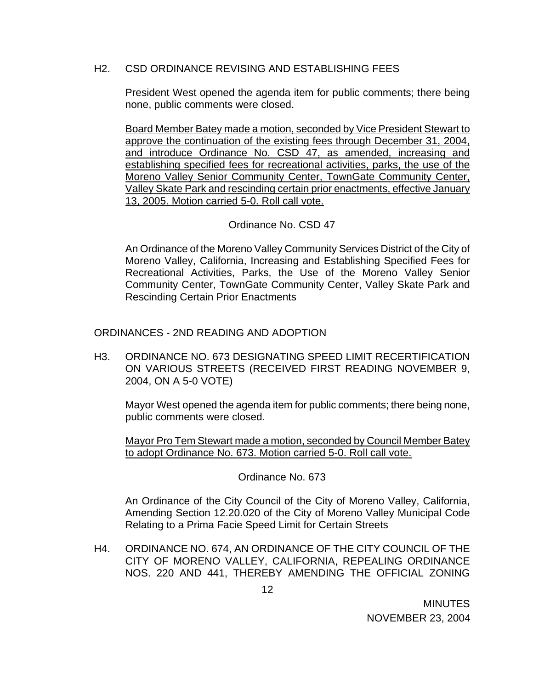### H2. CSD ORDINANCE REVISING AND ESTABLISHING FEES

President West opened the agenda item for public comments; there being none, public comments were closed.

 Board Member Batey made a motion, seconded by Vice President Stewart to approve the continuation of the existing fees through December 31, 2004, and introduce Ordinance No. CSD 47, as amended, increasing and establishing specified fees for recreational activities, parks, the use of the Moreno Valley Senior Community Center, TownGate Community Center, Valley Skate Park and rescinding certain prior enactments, effective January 13, 2005. Motion carried 5-0. Roll call vote.

## Ordinance No. CSD 47

An Ordinance of the Moreno Valley Community Services District of the City of Moreno Valley, California, Increasing and Establishing Specified Fees for Recreational Activities, Parks, the Use of the Moreno Valley Senior Community Center, TownGate Community Center, Valley Skate Park and Rescinding Certain Prior Enactments

ORDINANCES - 2ND READING AND ADOPTION

H3. ORDINANCE NO. 673 DESIGNATING SPEED LIMIT RECERTIFICATION ON VARIOUS STREETS (RECEIVED FIRST READING NOVEMBER 9, 2004, ON A 5-0 VOTE)

Mayor West opened the agenda item for public comments; there being none, public comments were closed.

 Mayor Pro Tem Stewart made a motion, seconded by Council Member Batey to adopt Ordinance No. 673. Motion carried 5-0. Roll call vote.

Ordinance No. 673

An Ordinance of the City Council of the City of Moreno Valley, California, Amending Section 12.20.020 of the City of Moreno Valley Municipal Code Relating to a Prima Facie Speed Limit for Certain Streets

H4. ORDINANCE NO. 674, AN ORDINANCE OF THE CITY COUNCIL OF THE CITY OF MORENO VALLEY, CALIFORNIA, REPEALING ORDINANCE NOS. 220 AND 441, THEREBY AMENDING THE OFFICIAL ZONING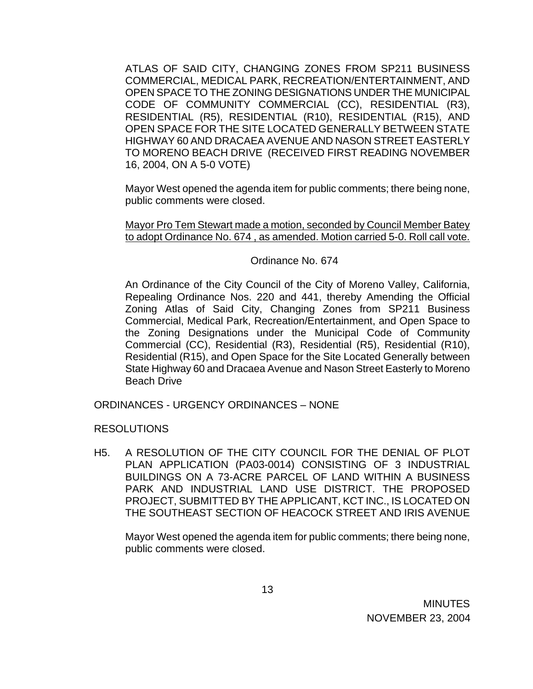ATLAS OF SAID CITY, CHANGING ZONES FROM SP211 BUSINESS COMMERCIAL, MEDICAL PARK, RECREATION/ENTERTAINMENT, AND OPEN SPACE TO THE ZONING DESIGNATIONS UNDER THE MUNICIPAL CODE OF COMMUNITY COMMERCIAL (CC), RESIDENTIAL (R3), RESIDENTIAL (R5), RESIDENTIAL (R10), RESIDENTIAL (R15), AND OPEN SPACE FOR THE SITE LOCATED GENERALLY BETWEEN STATE HIGHWAY 60 AND DRACAEA AVENUE AND NASON STREET EASTERLY TO MORENO BEACH DRIVE (RECEIVED FIRST READING NOVEMBER 16, 2004, ON A 5-0 VOTE)

Mayor West opened the agenda item for public comments; there being none, public comments were closed.

Mayor Pro Tem Stewart made a motion, seconded by Council Member Batey to adopt Ordinance No. 674 , as amended. Motion carried 5-0. Roll call vote.

## Ordinance No. 674

An Ordinance of the City Council of the City of Moreno Valley, California, Repealing Ordinance Nos. 220 and 441, thereby Amending the Official Zoning Atlas of Said City, Changing Zones from SP211 Business Commercial, Medical Park, Recreation/Entertainment, and Open Space to the Zoning Designations under the Municipal Code of Community Commercial (CC), Residential (R3), Residential (R5), Residential (R10), Residential (R15), and Open Space for the Site Located Generally between State Highway 60 and Dracaea Avenue and Nason Street Easterly to Moreno Beach Drive

ORDINANCES - URGENCY ORDINANCES – NONE

RESOLUTIONS

H5. A RESOLUTION OF THE CITY COUNCIL FOR THE DENIAL OF PLOT PLAN APPLICATION (PA03-0014) CONSISTING OF 3 INDUSTRIAL BUILDINGS ON A 73-ACRE PARCEL OF LAND WITHIN A BUSINESS PARK AND INDUSTRIAL LAND USE DISTRICT. THE PROPOSED PROJECT, SUBMITTED BY THE APPLICANT, KCT INC., IS LOCATED ON THE SOUTHEAST SECTION OF HEACOCK STREET AND IRIS AVENUE

Mayor West opened the agenda item for public comments; there being none, public comments were closed.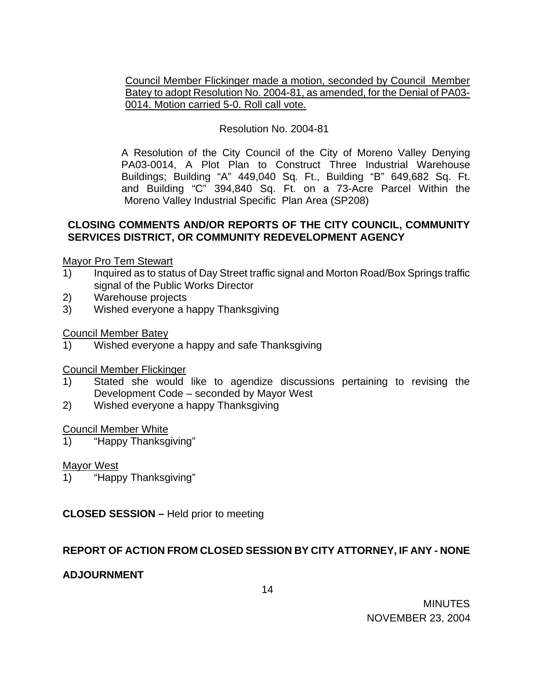Council Member Flickinger made a motion, seconded by Council Member Batey to adopt Resolution No. 2004-81, as amended, for the Denial of PA03- 0014. Motion carried 5-0. Roll call vote.

# Resolution No. 2004-81

 A Resolution of the City Council of the City of Moreno Valley Denying PA03-0014, A Plot Plan to Construct Three Industrial Warehouse Buildings; Building "A" 449,040 Sq. Ft., Building "B" 649,682 Sq. Ft. and Building "C" 394,840 Sq. Ft. on a 73-Acre Parcel Within the Moreno Valley Industrial Specific Plan Area (SP208)

### **CLOSING COMMENTS AND/OR REPORTS OF THE CITY COUNCIL, COMMUNITY SERVICES DISTRICT, OR COMMUNITY REDEVELOPMENT AGENCY**

Mayor Pro Tem Stewart

- 1) Inquired as to status of Day Street traffic signal and Morton Road/Box Springs traffic signal of the Public Works Director
- 2) Warehouse projects
- 3) Wished everyone a happy Thanksgiving

Council Member Batey

1) Wished everyone a happy and safe Thanksgiving

Council Member Flickinger

- 1) Stated she would like to agendize discussions pertaining to revising the Development Code – seconded by Mayor West
- 2) Wished everyone a happy Thanksgiving

### Council Member White

1) "Happy Thanksgiving"

Mayor West

1) "Happy Thanksgiving"

**CLOSED SESSION –** Held prior to meeting

### **REPORT OF ACTION FROM CLOSED SESSION BY CITY ATTORNEY, IF ANY - NONE**

### **ADJOURNMENT**